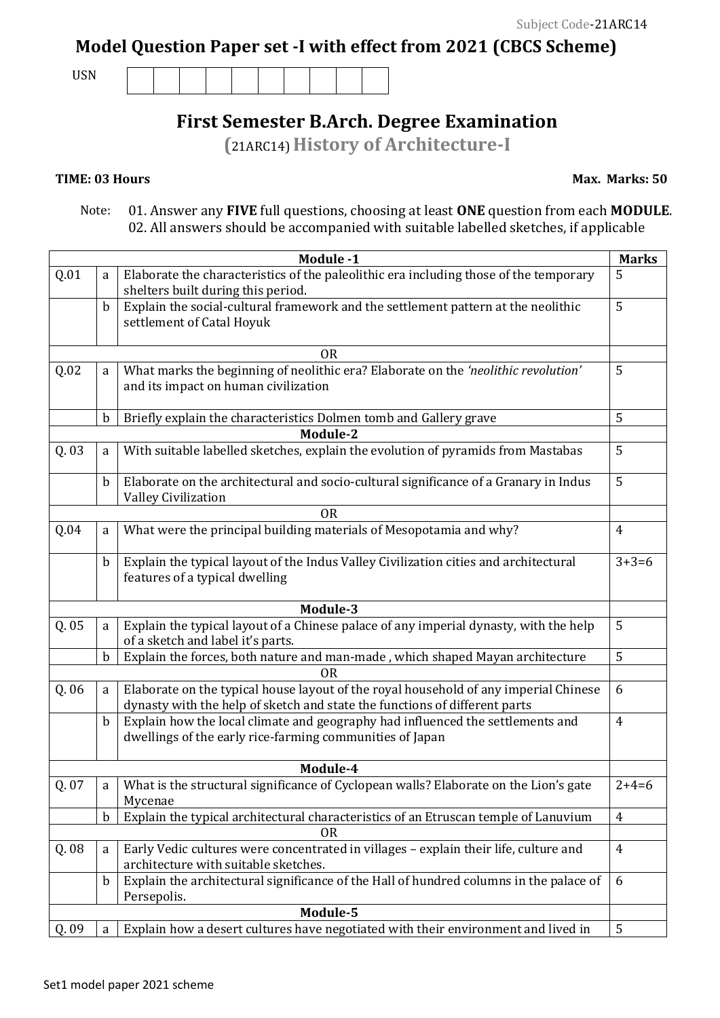**Model Question Paper set -I with effect from 2021 (CBCS Scheme)** 

USN

## **First Semester B.Arch. Degree Examination**

**(**21ARC14) **History of Architecture-I** 

## **TIME: 03 Hours**

 **Max. Marks: 50** 

 Note: 01. Answer any **FIVE** full questions, choosing at least **ONE** question from each **MODULE**. 02. All answers should be accompanied with suitable labelled sketches, if applicable

|       |             | Module -1                                                                              | <b>Marks</b>   |
|-------|-------------|----------------------------------------------------------------------------------------|----------------|
| Q.01  | a           | Elaborate the characteristics of the paleolithic era including those of the temporary  | 5              |
|       |             | shelters built during this period.                                                     |                |
|       | $\mathbf b$ | Explain the social-cultural framework and the settlement pattern at the neolithic      | 5              |
|       |             | settlement of Catal Hoyuk                                                              |                |
|       |             |                                                                                        |                |
|       |             | 0 <sub>R</sub>                                                                         |                |
| Q.02  | a           | What marks the beginning of neolithic era? Elaborate on the 'neolithic revolution'     | 5              |
|       |             | and its impact on human civilization                                                   |                |
|       |             |                                                                                        |                |
|       | $\mathbf b$ | Briefly explain the characteristics Dolmen tomb and Gallery grave                      | 5              |
|       |             | <b>Module-2</b>                                                                        |                |
| Q. 03 | a           | With suitable labelled sketches, explain the evolution of pyramids from Mastabas       | 5              |
|       |             |                                                                                        |                |
|       | $\mathbf b$ | Elaborate on the architectural and socio-cultural significance of a Granary in Indus   | 5              |
|       |             | <b>Valley Civilization</b>                                                             |                |
|       |             | <b>OR</b>                                                                              |                |
| Q.04  | a           | What were the principal building materials of Mesopotamia and why?                     | $\overline{4}$ |
|       | $\mathbf b$ | Explain the typical layout of the Indus Valley Civilization cities and architectural   | $3+3=6$        |
|       |             | features of a typical dwelling                                                         |                |
|       |             |                                                                                        |                |
|       |             | Module-3                                                                               |                |
| Q. 05 | a           | Explain the typical layout of a Chinese palace of any imperial dynasty, with the help  | 5              |
|       |             | of a sketch and label it's parts.                                                      |                |
|       | $\mathbf b$ | Explain the forces, both nature and man-made, which shaped Mayan architecture          | 5              |
|       |             | <b>OR</b>                                                                              |                |
| Q. 06 | a           | Elaborate on the typical house layout of the royal household of any imperial Chinese   | 6              |
|       |             | dynasty with the help of sketch and state the functions of different parts             |                |
|       | b           | Explain how the local climate and geography had influenced the settlements and         | $\overline{4}$ |
|       |             | dwellings of the early rice-farming communities of Japan                               |                |
|       |             |                                                                                        |                |
|       |             | Module-4                                                                               |                |
| Q. 07 | a           | What is the structural significance of Cyclopean walls? Elaborate on the Lion's gate   | $2+4=6$        |
|       |             | Mycenae                                                                                |                |
|       | $\mathbf b$ | Explain the typical architectural characteristics of an Etruscan temple of Lanuvium    | $\overline{4}$ |
|       |             | 0R                                                                                     |                |
| Q. 08 | a           | Early Vedic cultures were concentrated in villages - explain their life, culture and   | $\overline{4}$ |
|       |             | architecture with suitable sketches.                                                   |                |
|       | $\mathbf b$ | Explain the architectural significance of the Hall of hundred columns in the palace of | 6              |
|       |             | Persepolis.                                                                            |                |
|       |             | Module-5                                                                               |                |
| Q. 09 | a           | Explain how a desert cultures have negotiated with their environment and lived in      | 5              |